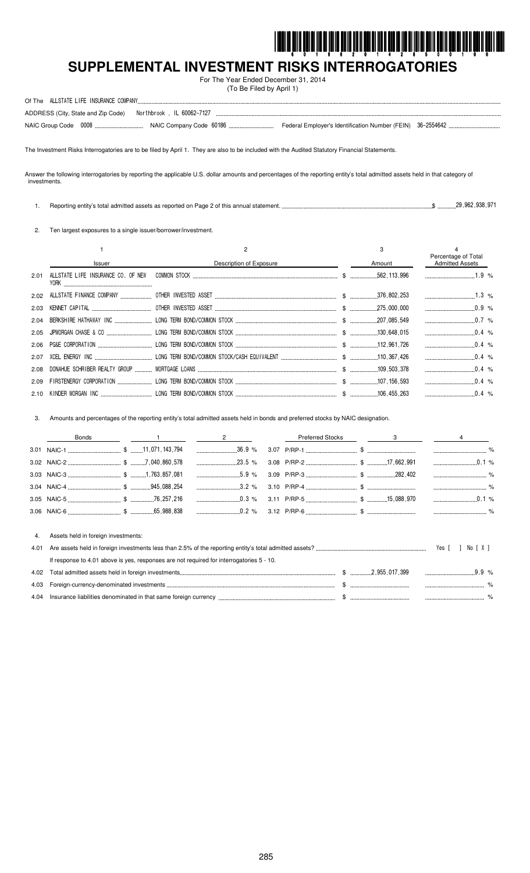

# SUPPLEMENTAL INVESTMENT RISKS INTERROGATORIES

For The Year Ended December 31, 2014 (To Be Filed by April 1)

| ALLSTATE LIFE INSURANCE COMPANY.<br>Of The |                            |                                                            |  |
|--------------------------------------------|----------------------------|------------------------------------------------------------|--|
| ADDRESS (City, State and Zip Code)         | Northbrook . IL 60062-7127 |                                                            |  |
| NAIC Group Code 0008.                      |                            | Federal Employer's Identification Number (FEIN) 36-2554642 |  |

The Investment Risks Interrogatories are to be filed by April 1. They are also to be included with the Audited Statutory Financial Statements.

Answer the following interrogatories by reporting the applicable U.S. dollar amounts and percentages of the reporting entity's total admitted assets held in that category of investments.

 $$$   $$$   $$$   $29.962.938.971$ 1. Reporting entity's total admitted assets as reported on Page 2 of this annual statement.

2. Ten largest exposures to a single issuer/borrower/investment.

|      |                                            |                             | 3      | Percentage of Total    |  |
|------|--------------------------------------------|-----------------------------|--------|------------------------|--|
|      | <b>Issuer</b>                              | Description of Exposure     | Amount | <b>Admitted Assets</b> |  |
| 2.01 | ALLSTATE LIFE INSURANCE CO. OF NEW<br>Y0RK |                             |        |                        |  |
|      |                                            |                             |        | $1.3\%$                |  |
| 2.03 |                                            |                             |        |                        |  |
|      |                                            |                             |        | $0.7\%$                |  |
|      |                                            |                             |        | $0.4\%$                |  |
|      |                                            |                             |        |                        |  |
| 2.07 |                                            |                             |        | $0.4\%$                |  |
| 2.08 |                                            |                             |        | $0.4\%$                |  |
| 2.09 |                                            |                             |        | $\ldots$ 0.4 %         |  |
|      | 2.10 KINDER MORGAN INC                     | LONG TERM BOND/COMMON STOCK |        | $0.4\%$                |  |

3. Amounts and percentages of the reporting entity's total admitted assets held in bonds and preferred stocks by NAIC designation.

|      | <b>Bonds</b>                                                                             | $\overline{2}$                                                                           | <b>Preferred Stocks</b> | 3 |                  |  |
|------|------------------------------------------------------------------------------------------|------------------------------------------------------------------------------------------|-------------------------|---|------------------|--|
|      |                                                                                          |                                                                                          |                         |   |                  |  |
|      |                                                                                          | $\ldots$ 23.5 %                                                                          |                         |   | 0.1%             |  |
|      |                                                                                          |                                                                                          |                         |   |                  |  |
|      |                                                                                          | $3.2\%$                                                                                  |                         |   |                  |  |
|      |                                                                                          | ____________________0.3 %  3.11 P/RP-5 ___________________________\$ _________15,088,970 |                         |   |                  |  |
|      |                                                                                          |                                                                                          |                         |   |                  |  |
|      |                                                                                          |                                                                                          |                         |   |                  |  |
| 4.   | Assets held in foreign investments:                                                      |                                                                                          |                         |   |                  |  |
| 4.01 |                                                                                          |                                                                                          |                         |   | NolXI<br>Yes [ ] |  |
|      | If response to 4.01 above is yes, responses are not required for interrogatories 5 - 10. |                                                                                          |                         |   |                  |  |
| 4.02 |                                                                                          |                                                                                          |                         |   | $99\%$           |  |
| 4.03 |                                                                                          |                                                                                          |                         |   |                  |  |

| 9.UJ             | הווסוווי                       |          |  |
|------------------|--------------------------------|----------|--|
| 4.0 <sup>2</sup> | insur<br>in thai<br>n currenc. | -------- |  |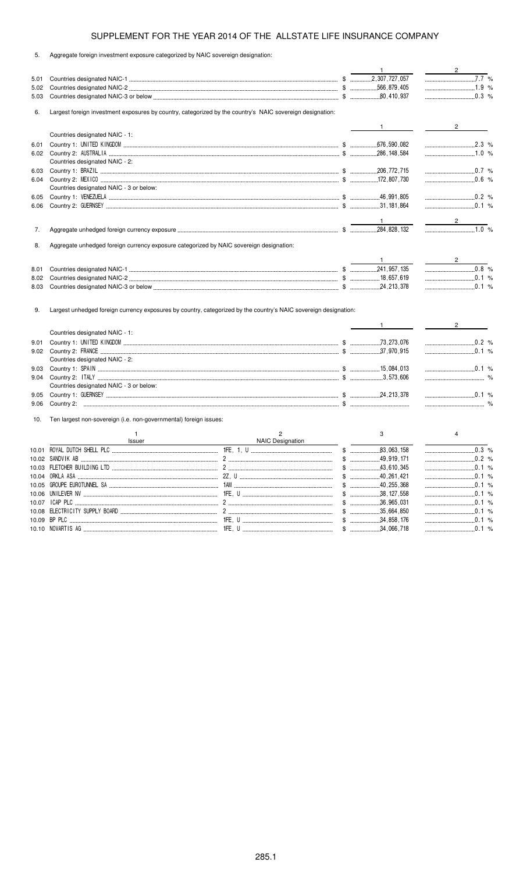5. Aggregate foreign investment exposure categorized by NAIC sovereign designation:

|       |                                                                                                           |                                                                                                                  | $\mathbf{1}$                                  | $2 \left( \frac{1}{2} \right)$                 |
|-------|-----------------------------------------------------------------------------------------------------------|------------------------------------------------------------------------------------------------------------------|-----------------------------------------------|------------------------------------------------|
| 5.01  |                                                                                                           |                                                                                                                  |                                               | $7.\overline{7}$ %                             |
| 5.02  |                                                                                                           |                                                                                                                  |                                               | 1.9 %                                          |
| 5.03  |                                                                                                           |                                                                                                                  |                                               |                                                |
| 6.    | Largest foreign investment exposures by country, categorized by the country's NAIC sovereign designation: |                                                                                                                  |                                               |                                                |
|       |                                                                                                           |                                                                                                                  |                                               | $2 \left( \frac{1}{2} \right)$                 |
|       | Countries designated NAIC - 1:                                                                            |                                                                                                                  |                                               |                                                |
| 6.01  |                                                                                                           |                                                                                                                  |                                               |                                                |
|       |                                                                                                           |                                                                                                                  |                                               |                                                |
|       | Countries designated NAIC - 2:                                                                            |                                                                                                                  |                                               |                                                |
| 6.03  |                                                                                                           |                                                                                                                  |                                               | $\frac{1}{2}$ 0.7 %                            |
| 6.04  |                                                                                                           |                                                                                                                  |                                               | $0.6\%$                                        |
|       | Countries designated NAIC - 3 or below:                                                                   |                                                                                                                  |                                               |                                                |
| 6.05  |                                                                                                           |                                                                                                                  |                                               |                                                |
| 6.06  |                                                                                                           |                                                                                                                  |                                               |                                                |
|       |                                                                                                           |                                                                                                                  |                                               |                                                |
|       |                                                                                                           |                                                                                                                  | .284.828.132                                  | $\frac{1}{1.0\%}$                              |
| 7.    |                                                                                                           |                                                                                                                  |                                               |                                                |
| 8.    | Aggregate unhedged foreign currency exposure categorized by NAIC sovereign designation:                   |                                                                                                                  |                                               |                                                |
|       |                                                                                                           |                                                                                                                  |                                               |                                                |
| 8.01  |                                                                                                           |                                                                                                                  |                                               | $\ldots$ 0.8 %                                 |
| 8.02  |                                                                                                           |                                                                                                                  |                                               |                                                |
| 8.03  |                                                                                                           |                                                                                                                  |                                               | $\ldots$ 0.1 %                                 |
| 9.    |                                                                                                           | Largest unhedged foreign currency exposures by country, categorized by the country's NAIC sovereign designation: |                                               |                                                |
|       |                                                                                                           |                                                                                                                  | $1$ <sub>__________</sub>                     | $2 \left( \frac{1}{2} \right)$                 |
|       | Countries designated NAIC - 1:                                                                            |                                                                                                                  |                                               |                                                |
| 9.01  |                                                                                                           |                                                                                                                  |                                               | $\begin{array}{ccc}\n& 0.2 & \% \n\end{array}$ |
|       |                                                                                                           |                                                                                                                  |                                               |                                                |
|       | Countries designated NAIC - 2:                                                                            |                                                                                                                  |                                               |                                                |
| 9.03  |                                                                                                           |                                                                                                                  |                                               |                                                |
| 9.04  |                                                                                                           |                                                                                                                  |                                               |                                                |
|       | Countries designated NAIC - 3 or below:                                                                   |                                                                                                                  |                                               |                                                |
| 9.05  |                                                                                                           |                                                                                                                  |                                               |                                                |
| 9.06  |                                                                                                           |                                                                                                                  |                                               |                                                |
| 10.   | Ten largest non-sovereign (i.e. non-governmental) foreign issues:                                         |                                                                                                                  |                                               |                                                |
|       | $\mathbf{1}$                                                                                              | $\overline{2}$                                                                                                   | 3                                             | 4                                              |
|       | <b>Issuer</b>                                                                                             | NAIC Designation                                                                                                 |                                               |                                                |
|       |                                                                                                           |                                                                                                                  |                                               | $\ldots$ 0.3 %                                 |
|       |                                                                                                           |                                                                                                                  | $$$ 49,919,171<br>$\frac{1}{2}$<br>43,610,345 |                                                |
|       |                                                                                                           |                                                                                                                  |                                               | $\ldots$ 0.1 %                                 |
| 10.05 |                                                                                                           |                                                                                                                  |                                               | $\ldots$ 0.1 %                                 |
| 10.06 |                                                                                                           |                                                                                                                  |                                               |                                                |
| 10.07 |                                                                                                           |                                                                                                                  |                                               |                                                |
| 10.08 |                                                                                                           |                                                                                                                  | $$$ 35,664,850                                |                                                |
|       |                                                                                                           |                                                                                                                  | $$$ 34,858,176                                |                                                |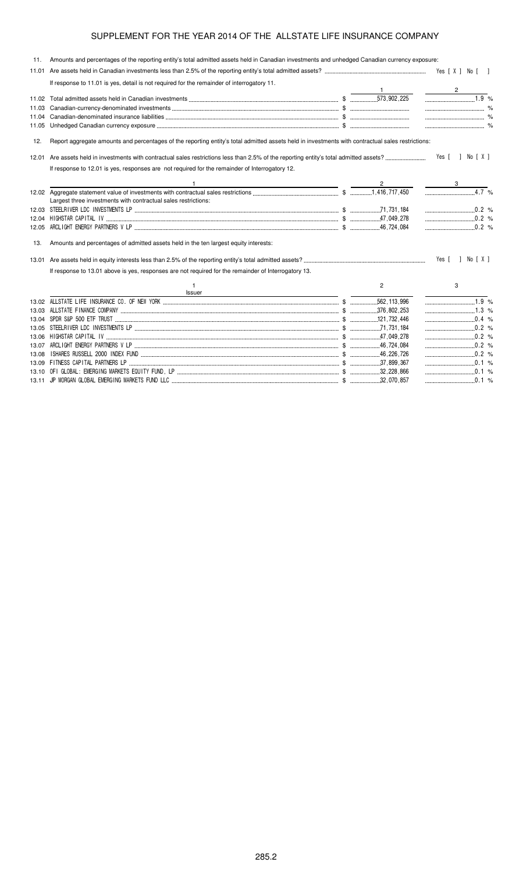| 11.   | Amounts and percentages of the reporting entity's total admitted assets held in Canadian investments and unhedged Canadian currency exposure:     |                |                  |
|-------|---------------------------------------------------------------------------------------------------------------------------------------------------|----------------|------------------|
|       |                                                                                                                                                   |                |                  |
|       | If response to 11.01 is yes, detail is not required for the remainder of interrogatory 11.                                                        |                |                  |
|       |                                                                                                                                                   |                |                  |
|       |                                                                                                                                                   |                | 1.9 %            |
| 11.03 |                                                                                                                                                   |                |                  |
| 11.04 |                                                                                                                                                   |                |                  |
| 11.05 |                                                                                                                                                   |                |                  |
| 12.   | Report aggregate amounts and percentages of the reporting entity's total admitted assets held in investments with contractual sales restrictions: |                |                  |
|       |                                                                                                                                                   |                | Yes [ ] No [ X ] |
|       | If response to 12.01 is yes, responses are not required for the remainder of Interrogatory 12.                                                    |                |                  |
|       |                                                                                                                                                   |                |                  |
|       |                                                                                                                                                   |                | $4.7\%$          |
|       | Largest three investments with contractual sales restrictions:                                                                                    |                |                  |
|       |                                                                                                                                                   |                | 0.2 %            |
|       |                                                                                                                                                   |                | $\ldots$ 0.2 %   |
| 12.05 |                                                                                                                                                   |                | $0.2\%$          |
| 13.   | Amounts and percentages of admitted assets held in the ten largest equity interests:                                                              |                |                  |
|       |                                                                                                                                                   |                | Yes [ ] No [ X ] |
|       | If response to 13.01 above is yes, responses are not required for the remainder of Interrogatory 13.                                              |                |                  |
|       | $\mathbf{1}$<br>Issuer                                                                                                                            | $\overline{2}$ | 3                |
|       |                                                                                                                                                   |                | $\frac{1}{1.9}$  |
|       |                                                                                                                                                   |                |                  |
|       | 13.04 SPDR S&P 500 ETF TRUST (2000) 2000 CONTENTS (2000) 2010 121,732,446                                                                         |                |                  |
|       |                                                                                                                                                   |                | $\ldots$ 0.2 %   |
|       |                                                                                                                                                   |                | $\ldots$ 0.2 %   |
|       |                                                                                                                                                   |                | $\ldots$ 0.2 %   |
| 13.08 |                                                                                                                                                   |                | $\sim$ 0.2 %     |
|       |                                                                                                                                                   |                |                  |
|       |                                                                                                                                                   |                |                  |
|       |                                                                                                                                                   |                | $\ldots$ 0.1 %   |
|       |                                                                                                                                                   |                |                  |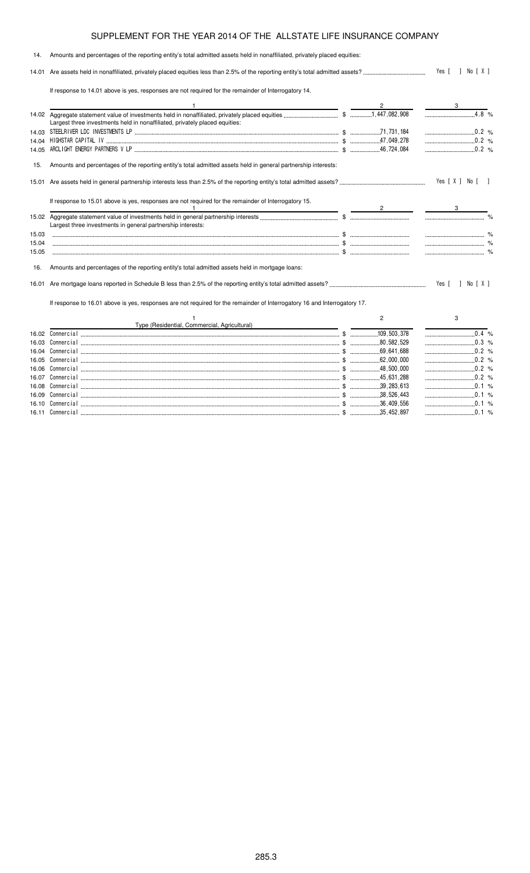#### 14. Amounts and percentages of the reporting entity's total admitted assets held in nonaffiliated, privately placed equities: 14.01 Are assets held in nonaffiliated, privately placed equities less than 2.5% of the reporting entity's total admitted assets? - $\therefore$  Yes [ ] No [ X ] If response to 14.01 above is yes, responses are not required for the remainder of Interrogatory 14. 1  $\overline{2}$  3 14.02 Aggregate statement value of investments held in nonaffiliated, privately placed equities \$   % Largest three investments held in nonaffiliated, privately placed equities: 14.03 STEELRIVER LDC INVESTMENTS LP ....<br>14.04 HIGHSTAR CAPITAL IV ........................ ,731,1  $\begin{array}{c} 0.2 \\ 0.2 \\ \hline \end{array}$ 14.04 ! !! \$ 
 % 14.05 ARCLIGHT ENERGY PARTNERS V LP (2008) 2008 14.05 ARCLIGHT ENERGY PARTNERS V LP (2008) 2009 15. Amounts and percentages of the reporting entity's total admitted assets held in general partnership interests: 15.01 Are assets held in general partnership interests less than 2.5% of the reporting entity's total admitted assets? -Yes [X ] No [ ] If response to 15.01 above is yes, responses are not required for the remainder of Interrogatory 15. 1  $\overline{2}$  3 15.02 Aggregate statement value of investments held in general partnership interests \$ % Largest three investments in general partnership interests: 15.03 \$ % 15.04 \$ % 15.05 \$ % 16. Amounts and percentages of the reporting entity's total admitted assets held in mortgage loans: 16.01 Are mortgage loans reported in Schedule B less than 2.5% of the reporting entity's total admitted assets? - $\cdots$  Yes [ ] No [ X ]

If response to 16.01 above is yes, responses are not required for the remainder of Interrogatory 16 and Interrogatory 17.

|       | Type (Residential, Commercial, Agricultural) |             |          |
|-------|----------------------------------------------|-------------|----------|
| 16.02 |                                              | 109 503 378 |          |
| 16.03 | Commercial                                   | 80 582 529  | በ3 %     |
| 16.04 | Commercial                                   | 69.641.688  | 0 2 %    |
| 16.05 | Commercial                                   | 62.000.000  | $0.2 \%$ |
| 16.06 | Commercial                                   | 48.500.000  | በ 2 %    |
| 16.07 | Commercial                                   | 45 631 288  | $0.2 \%$ |
| 16.08 | Commercial                                   | 39 283 613  | O/2      |
|       | Commercial                                   | 38 526 443  |          |
| 16.10 | Commercial:                                  | 36.409.556  |          |
| 16 11 | Commercial                                   | 35.452.897  | $\sim$   |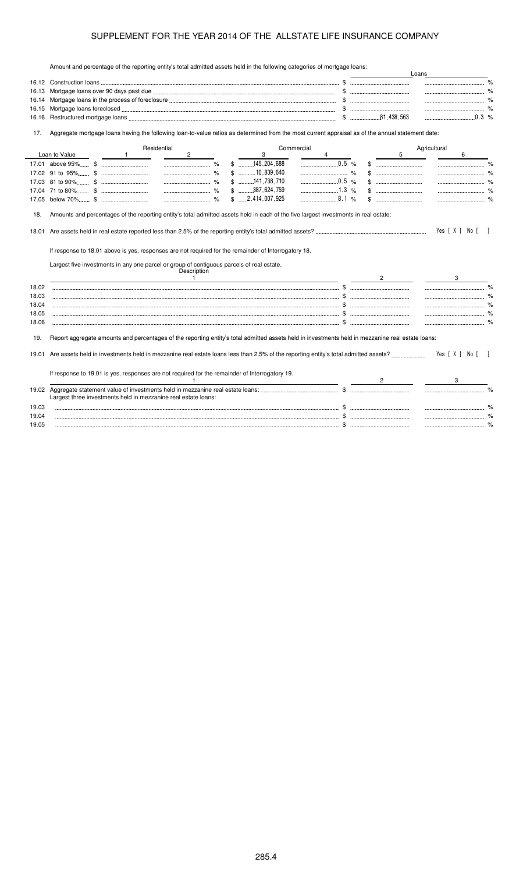Amount and percentage of the reporting entity's total admitted assets held in the following categories of mortgage loans:

|       | Amount and percentage of the reporting entity's total admitted assets neight the following categories of mongage loans.                                                                                                                                                                                                                                                                                                         |  |                                                | Loans        |                  |               |
|-------|---------------------------------------------------------------------------------------------------------------------------------------------------------------------------------------------------------------------------------------------------------------------------------------------------------------------------------------------------------------------------------------------------------------------------------|--|------------------------------------------------|--------------|------------------|---------------|
|       |                                                                                                                                                                                                                                                                                                                                                                                                                                 |  |                                                |              |                  |               |
| 16.13 |                                                                                                                                                                                                                                                                                                                                                                                                                                 |  |                                                |              |                  |               |
| 16.14 |                                                                                                                                                                                                                                                                                                                                                                                                                                 |  |                                                |              |                  |               |
| 16.15 |                                                                                                                                                                                                                                                                                                                                                                                                                                 |  |                                                |              |                  |               |
| 16.16 |                                                                                                                                                                                                                                                                                                                                                                                                                                 |  |                                                |              | $\ldots$ 0.3 %   |               |
| 17.   | Aggregate mortgage loans having the following loan-to-value ratios as determined from the most current appraisal as of the annual statement date:                                                                                                                                                                                                                                                                               |  |                                                |              |                  |               |
|       | Residential<br>Commercial                                                                                                                                                                                                                                                                                                                                                                                                       |  |                                                | Agricultural |                  |               |
|       | Loan to Value<br>$\overline{a}$<br>$\overline{1}$<br>3                                                                                                                                                                                                                                                                                                                                                                          |  | 5                                              |              | 6                |               |
|       | $$$ 145,204,688                                                                                                                                                                                                                                                                                                                                                                                                                 |  |                                                |              |                  |               |
|       | $$$ 10,839,640<br>$\sim$ $\sim$ $\sim$ $\sim$ $\sim$                                                                                                                                                                                                                                                                                                                                                                            |  |                                                |              |                  |               |
|       | $$$ 141,738,710<br>0.5 %                                                                                                                                                                                                                                                                                                                                                                                                        |  | $\$\quad$                                      |              |                  |               |
|       | $$ \dots 387,624,759$<br>$1.3\%$                                                                                                                                                                                                                                                                                                                                                                                                |  | $\mathbb{S}$ . The subsequence of $\mathbb{S}$ |              | $\%$             |               |
|       | 8.1%<br>$$ \dots 2,414,007,925$                                                                                                                                                                                                                                                                                                                                                                                                 |  | $\uparrow$                                     |              |                  |               |
|       |                                                                                                                                                                                                                                                                                                                                                                                                                                 |  |                                                |              |                  |               |
| 18.   | Amounts and percentages of the reporting entity's total admitted assets held in each of the five largest investments in real estate:                                                                                                                                                                                                                                                                                            |  |                                                |              |                  |               |
| 18.01 |                                                                                                                                                                                                                                                                                                                                                                                                                                 |  |                                                |              | Yes [ X ] No [ ] |               |
|       |                                                                                                                                                                                                                                                                                                                                                                                                                                 |  |                                                |              |                  |               |
|       | If response to 18.01 above is yes, responses are not required for the remainder of Interrogatory 18.                                                                                                                                                                                                                                                                                                                            |  |                                                |              |                  |               |
|       |                                                                                                                                                                                                                                                                                                                                                                                                                                 |  |                                                |              |                  |               |
|       | Largest five investments in any one parcel or group of contiguous parcels of real estate.<br>Description                                                                                                                                                                                                                                                                                                                        |  |                                                |              |                  |               |
|       | $\frac{1}{\sqrt{1-\frac{1}{2}}}\frac{1}{\sqrt{1-\frac{1}{2}}}\frac{1}{\sqrt{1-\frac{1}{2}}}\frac{1}{\sqrt{1-\frac{1}{2}}}\frac{1}{\sqrt{1-\frac{1}{2}}}\frac{1}{\sqrt{1-\frac{1}{2}}}\frac{1}{\sqrt{1-\frac{1}{2}}}\frac{1}{\sqrt{1-\frac{1}{2}}}\frac{1}{\sqrt{1-\frac{1}{2}}}\frac{1}{\sqrt{1-\frac{1}{2}}}\frac{1}{\sqrt{1-\frac{1}{2}}}\frac{1}{\sqrt{1-\frac{1}{2}}}\frac{1}{\sqrt{1-\frac{1}{2}}}\frac{1}{\sqrt{1-\frac{$ |  | $\overline{2}$                                 |              | 3                |               |
| 18.02 |                                                                                                                                                                                                                                                                                                                                                                                                                                 |  |                                                |              |                  | $\frac{9}{6}$ |
| 18.03 |                                                                                                                                                                                                                                                                                                                                                                                                                                 |  |                                                |              |                  |               |
| 18.04 |                                                                                                                                                                                                                                                                                                                                                                                                                                 |  |                                                |              |                  |               |
| 18.05 |                                                                                                                                                                                                                                                                                                                                                                                                                                 |  |                                                |              |                  |               |
| 18.06 |                                                                                                                                                                                                                                                                                                                                                                                                                                 |  |                                                |              |                  |               |
|       |                                                                                                                                                                                                                                                                                                                                                                                                                                 |  |                                                |              |                  |               |
| 19.   | Report aggregate amounts and percentages of the reporting entity's total admitted assets held in investments held in mezzanine real estate loans:                                                                                                                                                                                                                                                                               |  |                                                |              |                  |               |
|       |                                                                                                                                                                                                                                                                                                                                                                                                                                 |  |                                                |              |                  |               |
| 19.01 |                                                                                                                                                                                                                                                                                                                                                                                                                                 |  |                                                |              | Yes [ X ] No [ ] |               |
|       |                                                                                                                                                                                                                                                                                                                                                                                                                                 |  |                                                |              |                  |               |
|       | If response to 19.01 is yes, responses are not required for the remainder of Interrogatory 19.                                                                                                                                                                                                                                                                                                                                  |  |                                                |              |                  |               |
|       |                                                                                                                                                                                                                                                                                                                                                                                                                                 |  |                                                |              |                  |               |
|       |                                                                                                                                                                                                                                                                                                                                                                                                                                 |  |                                                |              |                  |               |
| 19.02 |                                                                                                                                                                                                                                                                                                                                                                                                                                 |  |                                                |              |                  |               |
|       | Largest three investments held in mezzanine real estate loans:                                                                                                                                                                                                                                                                                                                                                                  |  |                                                |              |                  |               |
| 19.03 |                                                                                                                                                                                                                                                                                                                                                                                                                                 |  |                                                |              |                  |               |
| 19.04 |                                                                                                                                                                                                                                                                                                                                                                                                                                 |  |                                                |              |                  |               |